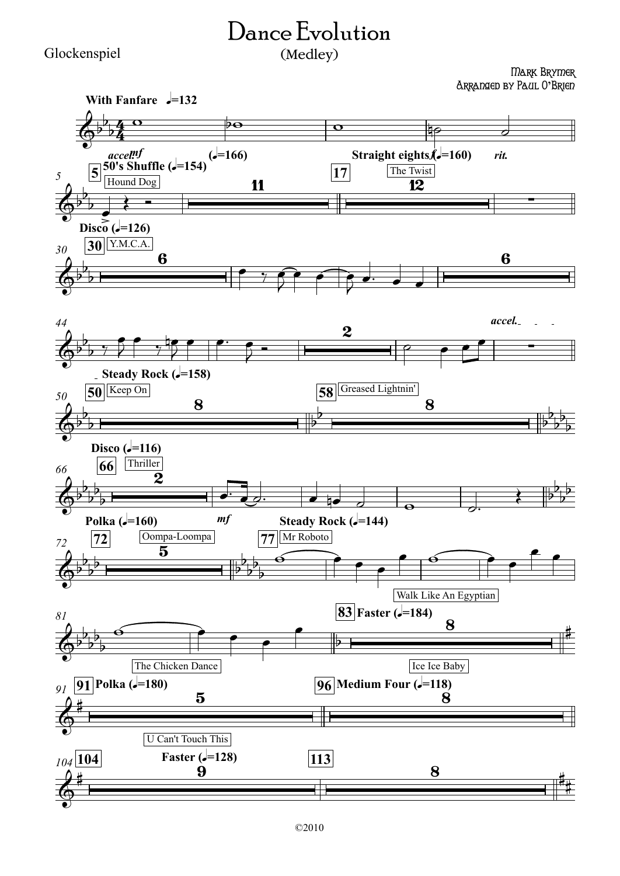## Glockenspiel

## Dance Evolution

## (Medley)

Mark Brymer Arranged by Paul O**'**Brien